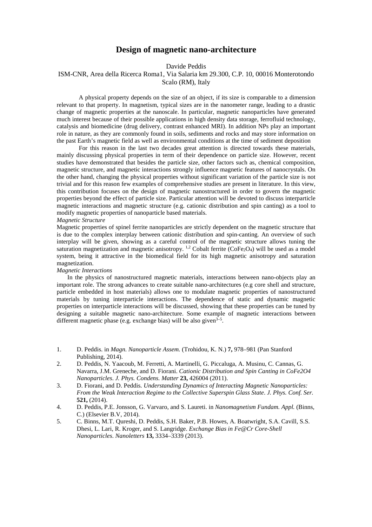## **Design of magnetic nano-architecture**

Davide Peddis

# ISM-CNR, Area della Ricerca Roma1, Via Salaria km 29.300, C.P. 10, 00016 Monterotondo

Scalo (RM), Italy

A physical property depends on the size of an object, if its size is comparable to a dimension relevant to that property. In magnetism, typical sizes are in the nanometer range, leading to a drastic change of magnetic properties at the nanoscale. In particular, magnetic nanoparticles have generated much interest because of their possible applications in high density data storage, ferrofluid technology, catalysis and biomedicine (drug delivery, contrast enhanced MRI). In addition NPs play an important role in nature, as they are commonly found in soils, sediments and rocks and may store information on the past Earth's magnetic field as well as environmental conditions at the time of sediment deposition

For this reason in the last two decades great attention is directed towards these materials, mainly discussing physical properties in term of their dependence on particle size. However, recent studies have demonstrated that besides the particle size, other factors such as, chemical composition, magnetic structure, and magnetic interactions strongly influence magnetic features of nanocrystals. On the other hand, changing the physical properties without significant variation of the particle size is not trivial and for this reason few examples of comprehensive studies are present in literature. In this view, this contribution focuses on the design of magnetic nanostructured in order to govern the magnetic properties beyond the effect of particle size. Particular attention will be devoted to discuss interparticle magnetic interactions and magnetic structure (e.g. cationic distribution and spin canting) as a tool to modify magnetic properties of nanoparticle based materials.

#### *Magnetic Structure*

Magnetic properties of spinel ferrite nanoparticles are strictly dependent on the magnetic structure that is due to the complex interplay between cationic distribution and spin-canting. An overview of such interplay will be given, showing as a careful control of the magnetic structure allows tuning the saturation magnetization and magnetic anisotropy.  $^{1,2}$  Cobalt ferrite (CoFe<sub>2</sub>O<sub>4</sub>) will be used as a model system, being it attractive in the biomedical field for its high magnetic anisotropy and saturation magnetization.

### *Magnetic Interactions*

In the physics of nanostructured magnetic materials, interactions between nano-objects play an important role. The strong advances to create suitable nano-architectures (e.g core shell and structure, particle embedded in host materials) allows one to modulate magnetic properties of nanostructured materials by tuning interparticle interactions. The dependence of static and dynamic magnetic properties on interparticle interactions will be discussed, showing that these properties can be tuned by designing a suitable magnetic nano-architecture. Some example of magnetic interactions between different magnetic phase (e.g. exchange bias) will be also given<sup> $3-5$ </sup>.

- 1. D. Peddis. in *Magn. Nanoparticle Assem.* (Trohidou, K. N.) **7,** 978–981 (Pan Stanford Publishing, 2014).
- 2. D. Peddis, N. Yaacoub, M. Ferretti, A. Martinelli, G. Piccaluga, A. Musinu, C. Cannas, G. Navarra, J.M. Greneche, and D. Fiorani. *Cationic Distribution and Spin Canting in CoFe2O4 Nanoparticles*. *J. Phys. Condens. Matter* **23,** 426004 (2011).
- 3. D. Fiorani, and D. Peddis. *Understanding Dynamics of Interacting Magnetic Nanoparticles: From the Weak Interaction Regime to the Collective Superspin Glass State*. *J. Phys. Conf. Ser.* **521,** (2014).
- 4. D. Peddis, P.E. Jonsson, G. Varvaro, and S. Laureti. in *Nanomagnetism Fundam. Appl.* (Binns, C.) (Elsevier B.V, 2014).
- 5. C. Binns, M.T. Qureshi, D. Peddis, S.H. Baker, P.B. Howes, A. Boatwright, S.A. Cavill, S.S. Dhesi, L. Lari, R. Kroger, and S. Langridge. *Exchange Bias in Fe@Cr Core-Shell Nanoparticles*. *Nanoletters* **13,** 3334–3339 (2013).